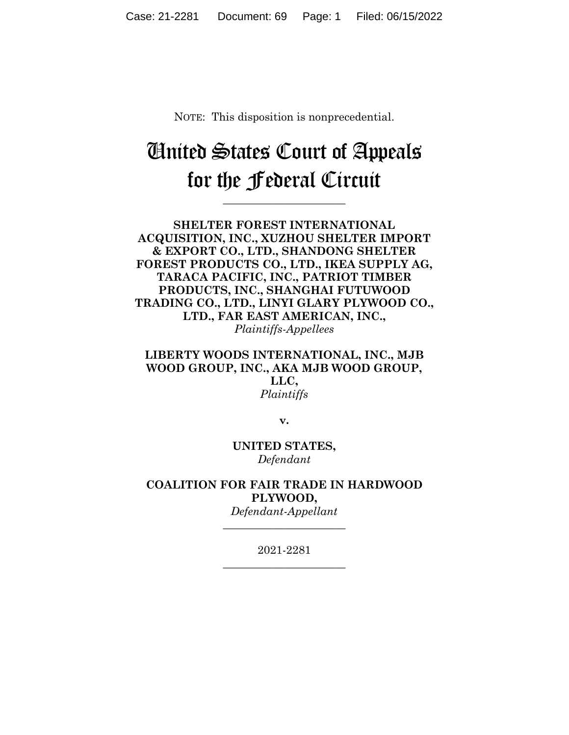NOTE: This disposition is nonprecedential.

# United States Court of Appeals for the Federal Circuit

**\_\_\_\_\_\_\_\_\_\_\_\_\_\_\_\_\_\_\_\_\_\_** 

**SHELTER FOREST INTERNATIONAL ACQUISITION, INC., XUZHOU SHELTER IMPORT & EXPORT CO., LTD., SHANDONG SHELTER FOREST PRODUCTS CO., LTD., IKEA SUPPLY AG, TARACA PACIFIC, INC., PATRIOT TIMBER PRODUCTS, INC., SHANGHAI FUTUWOOD TRADING CO., LTD., LINYI GLARY PLYWOOD CO., LTD., FAR EAST AMERICAN, INC.,** *Plaintiffs-Appellees*

**LIBERTY WOODS INTERNATIONAL, INC., MJB WOOD GROUP, INC., AKA MJB WOOD GROUP, LLC,** *Plaintiffs*

**v.**

**UNITED STATES,** *Defendant*

**COALITION FOR FAIR TRADE IN HARDWOOD PLYWOOD,** *Defendant-Appellant*

**\_\_\_\_\_\_\_\_\_\_\_\_\_\_\_\_\_\_\_\_\_\_** 

2021-2281 **\_\_\_\_\_\_\_\_\_\_\_\_\_\_\_\_\_\_\_\_\_\_**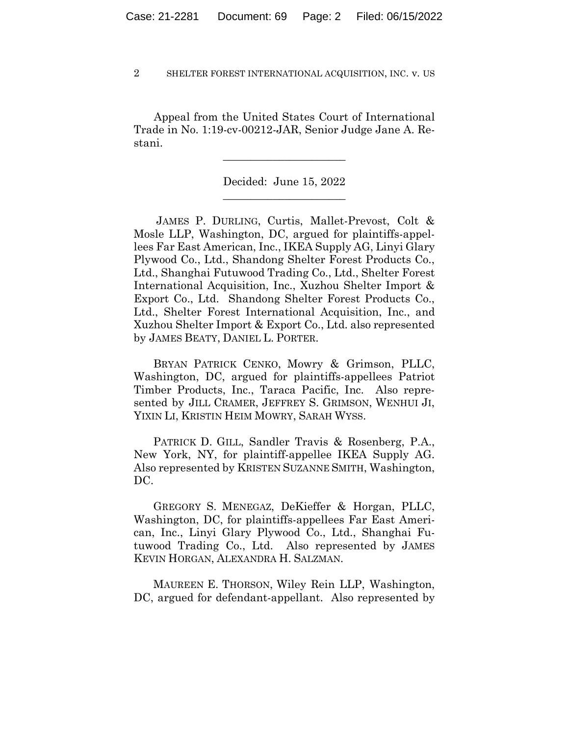Appeal from the United States Court of International Trade in No. 1:19-cv-00212-JAR, Senior Judge Jane A. Restani.

 $\overline{\phantom{a}}$  , where  $\overline{\phantom{a}}$  , where  $\overline{\phantom{a}}$  , where  $\overline{\phantom{a}}$ 

Decided: June 15, 2022  $\overline{\phantom{a}}$  , where  $\overline{\phantom{a}}$  , where  $\overline{\phantom{a}}$  , where  $\overline{\phantom{a}}$ 

JAMES P. DURLING, Curtis, Mallet-Prevost, Colt & Mosle LLP, Washington, DC, argued for plaintiffs-appellees Far East American, Inc., IKEA Supply AG, Linyi Glary Plywood Co., Ltd., Shandong Shelter Forest Products Co., Ltd., Shanghai Futuwood Trading Co., Ltd., Shelter Forest International Acquisition, Inc., Xuzhou Shelter Import & Export Co., Ltd. Shandong Shelter Forest Products Co., Ltd., Shelter Forest International Acquisition, Inc., and Xuzhou Shelter Import & Export Co., Ltd. also represented by JAMES BEATY, DANIEL L. PORTER.

 BRYAN PATRICK CENKO, Mowry & Grimson, PLLC, Washington, DC, argued for plaintiffs-appellees Patriot Timber Products, Inc., Taraca Pacific, Inc. Also represented by JILL CRAMER, JEFFREY S. GRIMSON, WENHUI JI, YIXIN LI, KRISTIN HEIM MOWRY, SARAH WYSS.

 PATRICK D. GILL, Sandler Travis & Rosenberg, P.A., New York, NY, for plaintiff-appellee IKEA Supply AG. Also represented by KRISTEN SUZANNE SMITH, Washington, DC.

 GREGORY S. MENEGAZ, DeKieffer & Horgan, PLLC, Washington, DC, for plaintiffs-appellees Far East American, Inc., Linyi Glary Plywood Co., Ltd., Shanghai Futuwood Trading Co., Ltd. Also represented by JAMES KEVIN HORGAN, ALEXANDRA H. SALZMAN.

 MAUREEN E. THORSON, Wiley Rein LLP, Washington, DC, argued for defendant-appellant. Also represented by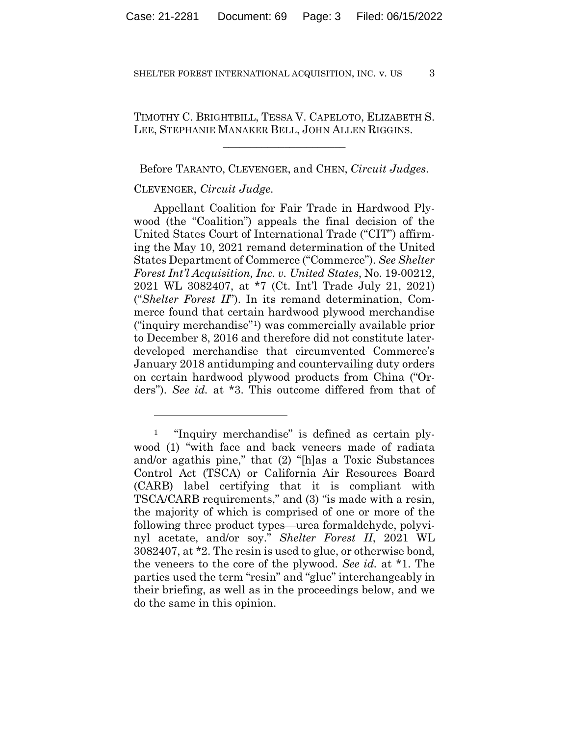TIMOTHY C. BRIGHTBILL, TESSA V. CAPELOTO, ELIZABETH S. LEE, STEPHANIE MANAKER BELL, JOHN ALLEN RIGGINS.

 $\overline{\phantom{a}}$  , where  $\overline{\phantom{a}}$  , where  $\overline{\phantom{a}}$  , where  $\overline{\phantom{a}}$ 

Before TARANTO, CLEVENGER, and CHEN, *Circuit Judges*.

## CLEVENGER, *Circuit Judge*.

Appellant Coalition for Fair Trade in Hardwood Plywood (the "Coalition") appeals the final decision of the United States Court of International Trade ("CIT") affirming the May 10, 2021 remand determination of the United States Department of Commerce ("Commerce"). *See Shelter Forest Int'l Acquisition, Inc. v. United States*, No. 19-00212, 2021 WL 3082407, at \*7 (Ct. Int'l Trade July 21, 2021) ("*Shelter Forest II*"). In its remand determination, Commerce found that certain hardwood plywood merchandise ("inquiry merchandise"1) was commercially available prior to December 8, 2016 and therefore did not constitute laterdeveloped merchandise that circumvented Commerce's January 2018 antidumping and countervailing duty orders on certain hardwood plywood products from China ("Orders"). *See id.* at \*3. This outcome differed from that of

<sup>1 &</sup>quot;Inquiry merchandise" is defined as certain plywood (1) "with face and back veneers made of radiata and/or agathis pine," that (2) "[h]as a Toxic Substances Control Act (TSCA) or California Air Resources Board (CARB) label certifying that it is compliant with TSCA/CARB requirements," and (3) "is made with a resin, the majority of which is comprised of one or more of the following three product types—urea formaldehyde, polyvinyl acetate, and/or soy." *Shelter Forest II*, 2021 WL 3082407, at \*2. The resin is used to glue, or otherwise bond, the veneers to the core of the plywood. *See id.* at \*1. The parties used the term "resin" and "glue" interchangeably in their briefing, as well as in the proceedings below, and we do the same in this opinion.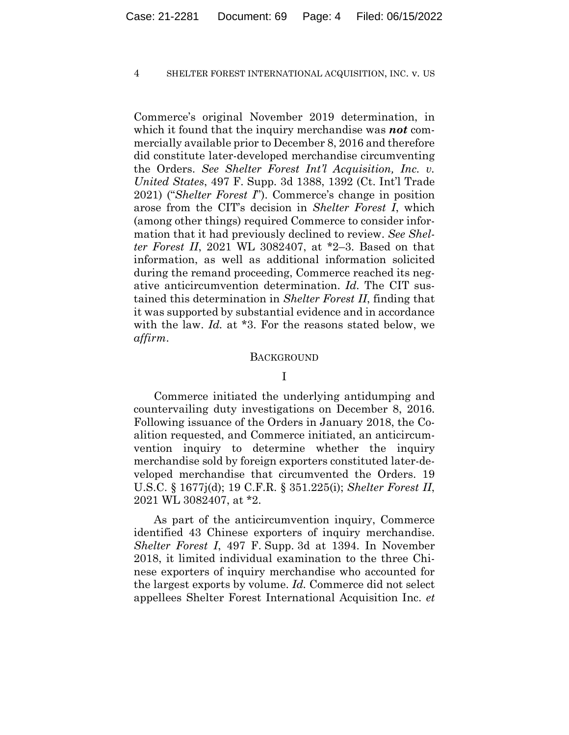Commerce's original November 2019 determination, in which it found that the inquiry merchandise was *not* commercially available prior to December 8, 2016 and therefore did constitute later-developed merchandise circumventing the Orders. *See Shelter Forest Int'l Acquisition, Inc. v. United States*, 497 F. Supp. 3d 1388, 1392 (Ct. Int'l Trade 2021) ("*Shelter Forest I*"). Commerce's change in position arose from the CIT's decision in *Shelter Forest I*, which (among other things) required Commerce to consider information that it had previously declined to review. *See Shelter Forest II*, 2021 WL 3082407, at \*2–3. Based on that information, as well as additional information solicited during the remand proceeding, Commerce reached its negative anticircumvention determination. *Id.* The CIT sustained this determination in *Shelter Forest II*, finding that it was supported by substantial evidence and in accordance with the law. *Id.* at \*3. For the reasons stated below, we *affirm*.

#### **BACKGROUND**

## I

Commerce initiated the underlying antidumping and countervailing duty investigations on December 8, 2016. Following issuance of the Orders in January 2018, the Coalition requested, and Commerce initiated, an anticircumvention inquiry to determine whether the inquiry merchandise sold by foreign exporters constituted later-developed merchandise that circumvented the Orders. 19 U.S.C. § 1677j(d); 19 C.F.R. § 351.225(i); *Shelter Forest II*, 2021 WL 3082407, at \*2.

As part of the anticircumvention inquiry, Commerce identified 43 Chinese exporters of inquiry merchandise. *Shelter Forest I*, 497 F. Supp. 3d at 1394. In November 2018, it limited individual examination to the three Chinese exporters of inquiry merchandise who accounted for the largest exports by volume. *Id.* Commerce did not select appellees Shelter Forest International Acquisition Inc. *et*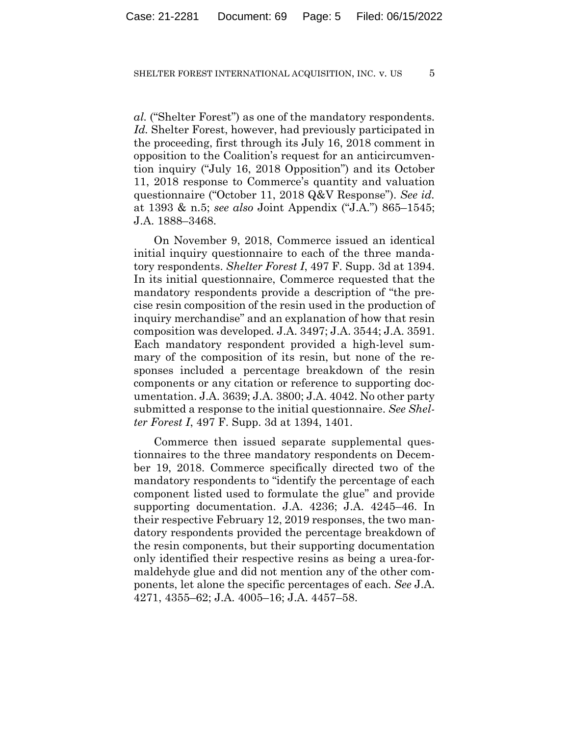*al.* ("Shelter Forest") as one of the mandatory respondents. *Id.* Shelter Forest, however, had previously participated in the proceeding, first through its July 16, 2018 comment in opposition to the Coalition's request for an anticircumvention inquiry ("July 16, 2018 Opposition") and its October 11, 2018 response to Commerce's quantity and valuation questionnaire ("October 11, 2018 Q&V Response"). *See id.*  at 1393 & n.5; *see also* Joint Appendix ("J.A.") 865–1545; J.A. 1888–3468.

On November 9, 2018, Commerce issued an identical initial inquiry questionnaire to each of the three mandatory respondents. *Shelter Forest I*, 497 F. Supp. 3d at 1394. In its initial questionnaire, Commerce requested that the mandatory respondents provide a description of "the precise resin composition of the resin used in the production of inquiry merchandise" and an explanation of how that resin composition was developed. J.A. 3497; J.A. 3544; J.A. 3591. Each mandatory respondent provided a high-level summary of the composition of its resin, but none of the responses included a percentage breakdown of the resin components or any citation or reference to supporting documentation. J.A. 3639; J.A. 3800; J.A. 4042. No other party submitted a response to the initial questionnaire. *See Shelter Forest I*, 497 F. Supp. 3d at 1394, 1401.

Commerce then issued separate supplemental questionnaires to the three mandatory respondents on December 19, 2018. Commerce specifically directed two of the mandatory respondents to "identify the percentage of each component listed used to formulate the glue" and provide supporting documentation. J.A. 4236; J.A. 4245–46. In their respective February 12, 2019 responses, the two mandatory respondents provided the percentage breakdown of the resin components, but their supporting documentation only identified their respective resins as being a urea-formaldehyde glue and did not mention any of the other components, let alone the specific percentages of each. *See* J.A. 4271, 4355–62; J.A. 4005–16; J.A. 4457–58.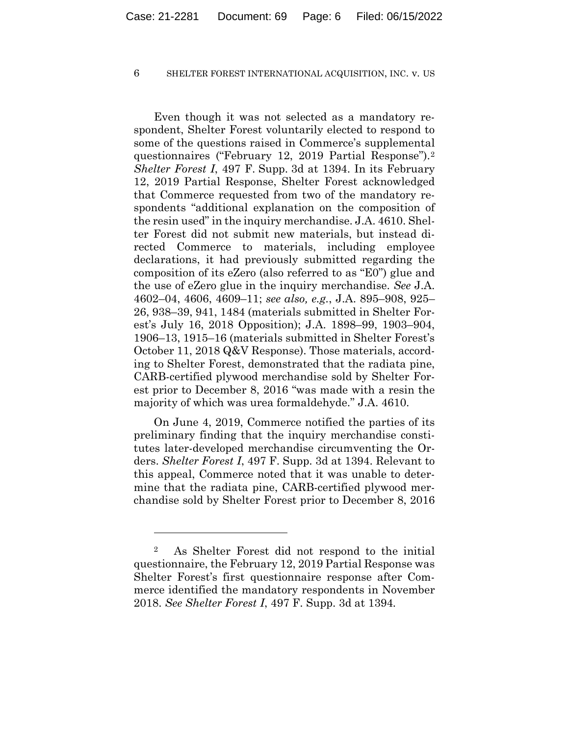Even though it was not selected as a mandatory respondent, Shelter Forest voluntarily elected to respond to some of the questions raised in Commerce's supplemental questionnaires ("February 12, 2019 Partial Response").2 *Shelter Forest I*, 497 F. Supp. 3d at 1394. In its February 12, 2019 Partial Response, Shelter Forest acknowledged that Commerce requested from two of the mandatory respondents "additional explanation on the composition of the resin used" in the inquiry merchandise. J.A. 4610. Shelter Forest did not submit new materials, but instead directed Commerce to materials, including employee declarations, it had previously submitted regarding the composition of its eZero (also referred to as "E0") glue and the use of eZero glue in the inquiry merchandise. *See* J.A. 4602–04, 4606, 4609–11; *see also, e.g.*, J.A. 895–908, 925– 26, 938–39, 941, 1484 (materials submitted in Shelter Forest's July 16, 2018 Opposition); J.A. 1898–99, 1903–904, 1906–13, 1915–16 (materials submitted in Shelter Forest's October 11, 2018 Q&V Response). Those materials, according to Shelter Forest, demonstrated that the radiata pine, CARB-certified plywood merchandise sold by Shelter Forest prior to December 8, 2016 "was made with a resin the majority of which was urea formaldehyde." J.A. 4610.

On June 4, 2019, Commerce notified the parties of its preliminary finding that the inquiry merchandise constitutes later-developed merchandise circumventing the Orders. *Shelter Forest I*, 497 F. Supp. 3d at 1394. Relevant to this appeal, Commerce noted that it was unable to determine that the radiata pine, CARB-certified plywood merchandise sold by Shelter Forest prior to December 8, 2016

<sup>2</sup> As Shelter Forest did not respond to the initial questionnaire, the February 12, 2019 Partial Response was Shelter Forest's first questionnaire response after Commerce identified the mandatory respondents in November 2018. *See Shelter Forest I*, 497 F. Supp. 3d at 1394*.*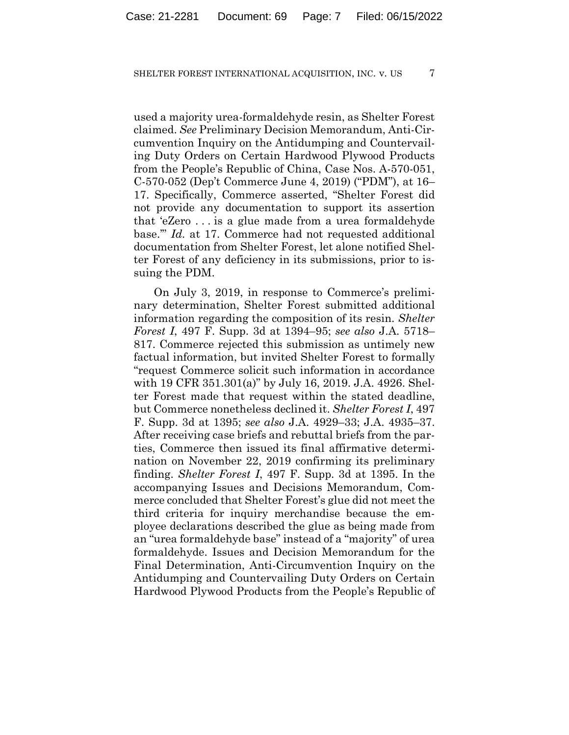used a majority urea-formaldehyde resin, as Shelter Forest claimed. *See* Preliminary Decision Memorandum, Anti-Circumvention Inquiry on the Antidumping and Countervailing Duty Orders on Certain Hardwood Plywood Products from the People's Republic of China, Case Nos. A-570-051, C-570-052 (Dep't Commerce June 4, 2019) ("PDM"), at 16– 17. Specifically, Commerce asserted, "Shelter Forest did not provide any documentation to support its assertion that 'eZero . . . is a glue made from a urea formaldehyde base.'" *Id.* at 17. Commerce had not requested additional documentation from Shelter Forest, let alone notified Shelter Forest of any deficiency in its submissions, prior to issuing the PDM.

On July 3, 2019, in response to Commerce's preliminary determination, Shelter Forest submitted additional information regarding the composition of its resin. *Shelter Forest I*, 497 F. Supp. 3d at 1394–95; *see also* J.A. 5718– 817. Commerce rejected this submission as untimely new factual information, but invited Shelter Forest to formally "request Commerce solicit such information in accordance with 19 CFR 351.301(a)" by July 16, 2019. J.A. 4926. Shelter Forest made that request within the stated deadline, but Commerce nonetheless declined it. *Shelter Forest I*, 497 F. Supp. 3d at 1395; *see also* J.A. 4929–33; J.A. 4935–37. After receiving case briefs and rebuttal briefs from the parties, Commerce then issued its final affirmative determination on November 22, 2019 confirming its preliminary finding. *Shelter Forest I*, 497 F. Supp. 3d at 1395. In the accompanying Issues and Decisions Memorandum, Commerce concluded that Shelter Forest's glue did not meet the third criteria for inquiry merchandise because the employee declarations described the glue as being made from an "urea formaldehyde base" instead of a "majority" of urea formaldehyde. Issues and Decision Memorandum for the Final Determination, Anti-Circumvention Inquiry on the Antidumping and Countervailing Duty Orders on Certain Hardwood Plywood Products from the People's Republic of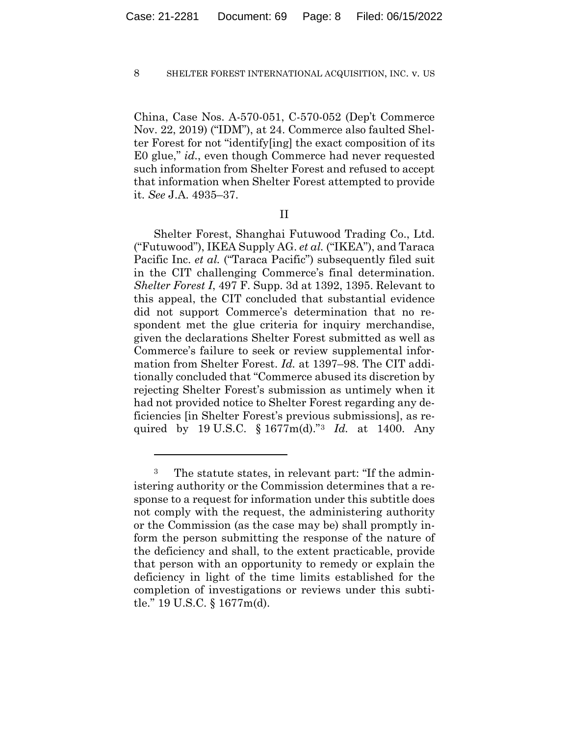China, Case Nos. A-570-051, C-570-052 (Dep't Commerce Nov. 22, 2019) ("IDM"), at 24. Commerce also faulted Shelter Forest for not "identify[ing] the exact composition of its E0 glue," *id.*, even though Commerce had never requested such information from Shelter Forest and refused to accept that information when Shelter Forest attempted to provide it. *See* J.A. 4935–37.

## II

Shelter Forest, Shanghai Futuwood Trading Co., Ltd. ("Futuwood"), IKEA Supply AG. *et al.* ("IKEA"), and Taraca Pacific Inc. *et al.* ("Taraca Pacific") subsequently filed suit in the CIT challenging Commerce's final determination. *Shelter Forest I*, 497 F. Supp. 3d at 1392, 1395. Relevant to this appeal, the CIT concluded that substantial evidence did not support Commerce's determination that no respondent met the glue criteria for inquiry merchandise, given the declarations Shelter Forest submitted as well as Commerce's failure to seek or review supplemental information from Shelter Forest. *Id.* at 1397–98. The CIT additionally concluded that "Commerce abused its discretion by rejecting Shelter Forest's submission as untimely when it had not provided notice to Shelter Forest regarding any deficiencies [in Shelter Forest's previous submissions], as required by 19 U.S.C. § 1677m(d)."3 *Id.* at 1400. Any

<sup>3</sup> The statute states, in relevant part: "If the administering authority or the Commission determines that a response to a request for information under this subtitle does not comply with the request, the administering authority or the Commission (as the case may be) shall promptly inform the person submitting the response of the nature of the deficiency and shall, to the extent practicable, provide that person with an opportunity to remedy or explain the deficiency in light of the time limits established for the completion of investigations or reviews under this subtitle." 19 U.S.C. § 1677m(d).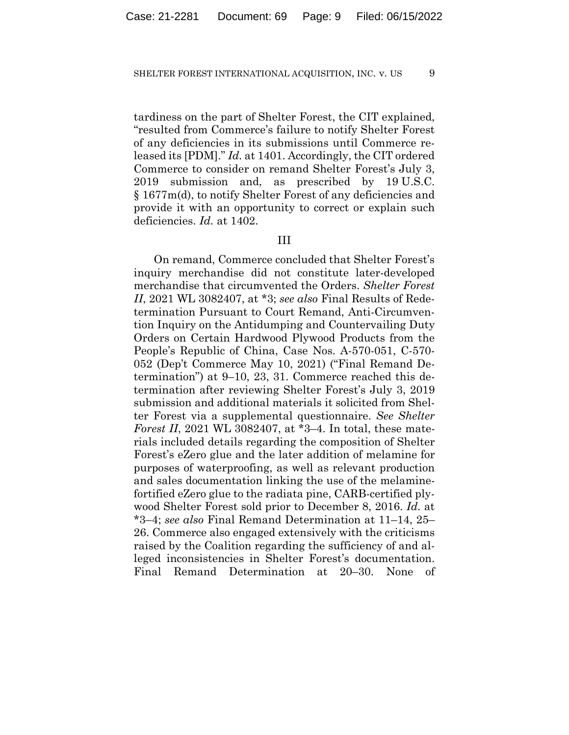tardiness on the part of Shelter Forest, the CIT explained, "resulted from Commerce's failure to notify Shelter Forest of any deficiencies in its submissions until Commerce released its [PDM]." *Id.* at 1401. Accordingly, the CIT ordered Commerce to consider on remand Shelter Forest's July 3, 2019 submission and, as prescribed by 19 U.S.C. § 1677m(d), to notify Shelter Forest of any deficiencies and provide it with an opportunity to correct or explain such deficiencies. *Id.* at 1402.

## III

On remand, Commerce concluded that Shelter Forest's inquiry merchandise did not constitute later-developed merchandise that circumvented the Orders. *Shelter Forest II*, 2021 WL 3082407, at \*3; *see also* Final Results of Redetermination Pursuant to Court Remand, Anti-Circumvention Inquiry on the Antidumping and Countervailing Duty Orders on Certain Hardwood Plywood Products from the People's Republic of China, Case Nos. A-570-051, C-570- 052 (Dep't Commerce May 10, 2021) ("Final Remand Determination") at 9–10, 23, 31. Commerce reached this determination after reviewing Shelter Forest's July 3, 2019 submission and additional materials it solicited from Shelter Forest via a supplemental questionnaire. *See Shelter Forest II*, 2021 WL 3082407, at \*3–4. In total, these materials included details regarding the composition of Shelter Forest's eZero glue and the later addition of melamine for purposes of waterproofing, as well as relevant production and sales documentation linking the use of the melaminefortified eZero glue to the radiata pine, CARB-certified plywood Shelter Forest sold prior to December 8, 2016. *Id.* at \*3–4; *see also* Final Remand Determination at 11–14, 25– 26. Commerce also engaged extensively with the criticisms raised by the Coalition regarding the sufficiency of and alleged inconsistencies in Shelter Forest's documentation. Final Remand Determination at 20–30. None of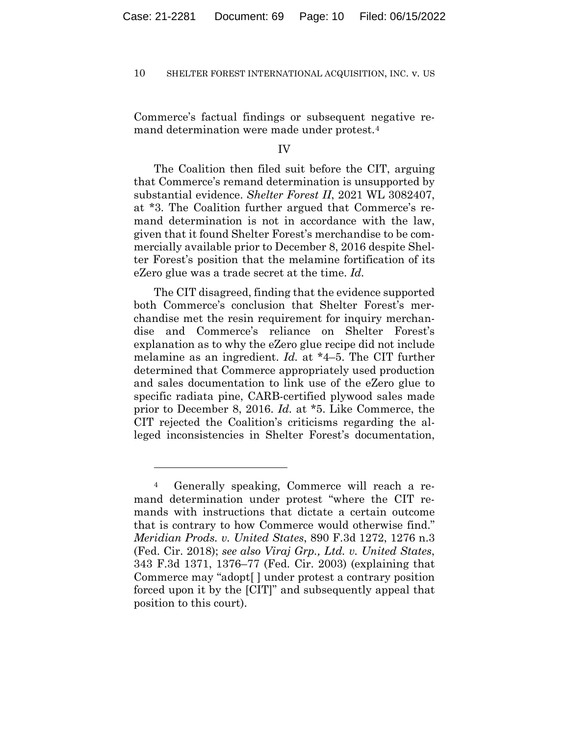Commerce's factual findings or subsequent negative remand determination were made under protest.4

## IV

The Coalition then filed suit before the CIT, arguing that Commerce's remand determination is unsupported by substantial evidence. *Shelter Forest II*, 2021 WL 3082407, at \*3. The Coalition further argued that Commerce's remand determination is not in accordance with the law, given that it found Shelter Forest's merchandise to be commercially available prior to December 8, 2016 despite Shelter Forest's position that the melamine fortification of its eZero glue was a trade secret at the time. *Id.*

The CIT disagreed, finding that the evidence supported both Commerce's conclusion that Shelter Forest's merchandise met the resin requirement for inquiry merchandise and Commerce's reliance on Shelter Forest's explanation as to why the eZero glue recipe did not include melamine as an ingredient. *Id.* at \*4–5. The CIT further determined that Commerce appropriately used production and sales documentation to link use of the eZero glue to specific radiata pine, CARB-certified plywood sales made prior to December 8, 2016. *Id.* at \*5. Like Commerce, the CIT rejected the Coalition's criticisms regarding the alleged inconsistencies in Shelter Forest's documentation,

<sup>4</sup> Generally speaking, Commerce will reach a remand determination under protest "where the CIT remands with instructions that dictate a certain outcome that is contrary to how Commerce would otherwise find." *Meridian Prods. v. United States*, 890 F.3d 1272, 1276 n.3 (Fed. Cir. 2018); *see also Viraj Grp., Ltd. v. United States*, 343 F.3d 1371, 1376–77 (Fed. Cir. 2003) (explaining that Commerce may "adopt[ ] under protest a contrary position forced upon it by the [CIT]" and subsequently appeal that position to this court).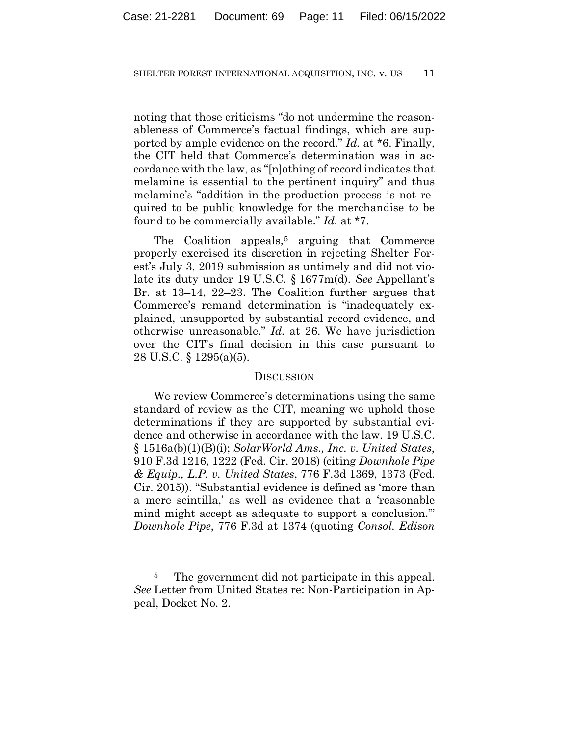noting that those criticisms "do not undermine the reasonableness of Commerce's factual findings, which are supported by ample evidence on the record." *Id.* at \*6. Finally, the CIT held that Commerce's determination was in accordance with the law, as "[n]othing of record indicates that melamine is essential to the pertinent inquiry" and thus melamine's "addition in the production process is not required to be public knowledge for the merchandise to be found to be commercially available." *Id.* at \*7.

The Coalition appeals,<sup>5</sup> arguing that Commerce properly exercised its discretion in rejecting Shelter Forest's July 3, 2019 submission as untimely and did not violate its duty under 19 U.S.C. § 1677m(d). *See* Appellant's Br. at 13–14, 22–23. The Coalition further argues that Commerce's remand determination is "inadequately explained, unsupported by substantial record evidence, and otherwise unreasonable." *Id.* at 26. We have jurisdiction over the CIT's final decision in this case pursuant to 28 U.S.C. § 1295(a)(5).

## **DISCUSSION**

We review Commerce's determinations using the same standard of review as the CIT, meaning we uphold those determinations if they are supported by substantial evidence and otherwise in accordance with the law. 19 U.S.C. § 1516a(b)(1)(B)(i); *SolarWorld Ams., Inc. v. United States*, 910 F.3d 1216, 1222 (Fed. Cir. 2018) (citing *Downhole Pipe & Equip., L.P. v. United States*, 776 F.3d 1369, 1373 (Fed. Cir. 2015)). "Substantial evidence is defined as 'more than a mere scintilla,' as well as evidence that a 'reasonable mind might accept as adequate to support a conclusion.'" *Downhole Pipe*, 776 F.3d at 1374 (quoting *Consol. Edison* 

<sup>&</sup>lt;sup>5</sup> The government did not participate in this appeal. *See* Letter from United States re: Non-Participation in Appeal, Docket No. 2.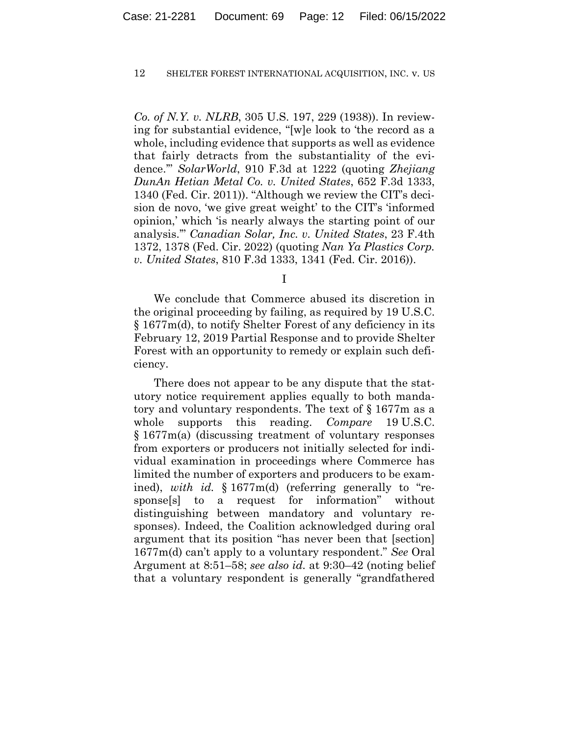*Co. of N.Y. v. NLRB*, 305 U.S. 197, 229 (1938)). In reviewing for substantial evidence, "[w]e look to 'the record as a whole, including evidence that supports as well as evidence that fairly detracts from the substantiality of the evidence.'" *SolarWorld*, 910 F.3d at 1222 (quoting *Zhejiang DunAn Hetian Metal Co. v. United States*, 652 F.3d 1333, 1340 (Fed. Cir. 2011)). "Although we review the CIT's decision de novo, 'we give great weight' to the CIT's 'informed opinion,' which 'is nearly always the starting point of our analysis.'" *Canadian Solar, Inc. v. United States*, 23 F.4th 1372, 1378 (Fed. Cir. 2022) (quoting *Nan Ya Plastics Corp. v. United States*, 810 F.3d 1333, 1341 (Fed. Cir. 2016)).

I

We conclude that Commerce abused its discretion in the original proceeding by failing, as required by 19 U.S.C. § 1677m(d), to notify Shelter Forest of any deficiency in its February 12, 2019 Partial Response and to provide Shelter Forest with an opportunity to remedy or explain such deficiency.

There does not appear to be any dispute that the statutory notice requirement applies equally to both mandatory and voluntary respondents. The text of § 1677m as a whole supports this reading. *Compare* 19 U.S.C. § 1677m(a) (discussing treatment of voluntary responses from exporters or producers not initially selected for individual examination in proceedings where Commerce has limited the number of exporters and producers to be examined), *with id.* § 1677m(d) (referring generally to "response[s] to a request for information" without distinguishing between mandatory and voluntary responses). Indeed, the Coalition acknowledged during oral argument that its position "has never been that [section] 1677m(d) can't apply to a voluntary respondent." *See* Oral Argument at 8:51–58; *see also id.* at 9:30–42 (noting belief that a voluntary respondent is generally "grandfathered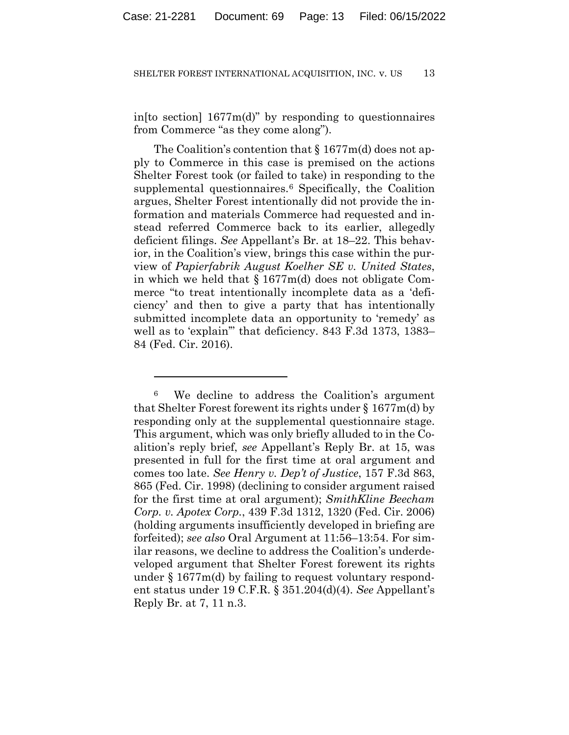in[to section] 1677m(d)" by responding to questionnaires from Commerce "as they come along").

The Coalition's contention that § 1677m(d) does not apply to Commerce in this case is premised on the actions Shelter Forest took (or failed to take) in responding to the supplemental questionnaires.<sup>6</sup> Specifically, the Coalition argues, Shelter Forest intentionally did not provide the information and materials Commerce had requested and instead referred Commerce back to its earlier, allegedly deficient filings. *See* Appellant's Br. at 18–22. This behavior, in the Coalition's view, brings this case within the purview of *Papierfabrik August Koelher SE v. United States*, in which we held that § 1677m(d) does not obligate Commerce "to treat intentionally incomplete data as a 'deficiency' and then to give a party that has intentionally submitted incomplete data an opportunity to 'remedy' as well as to 'explain'" that deficiency. 843 F.3d 1373, 1383– 84 (Fed. Cir. 2016).

<sup>6</sup> We decline to address the Coalition's argument that Shelter Forest forewent its rights under § 1677m(d) by responding only at the supplemental questionnaire stage. This argument, which was only briefly alluded to in the Coalition's reply brief, *see* Appellant's Reply Br. at 15, was presented in full for the first time at oral argument and comes too late. *See Henry v. Dep't of Justice*, 157 F.3d 863, 865 (Fed. Cir. 1998) (declining to consider argument raised for the first time at oral argument); *SmithKline Beecham Corp. v. Apotex Corp.*, 439 F.3d 1312, 1320 (Fed. Cir. 2006) (holding arguments insufficiently developed in briefing are forfeited); *see also* Oral Argument at 11:56–13:54. For similar reasons, we decline to address the Coalition's underdeveloped argument that Shelter Forest forewent its rights under  $§ 1677m(d)$  by failing to request voluntary respondent status under 19 C.F.R. § 351.204(d)(4). *See* Appellant's Reply Br. at 7, 11 n.3.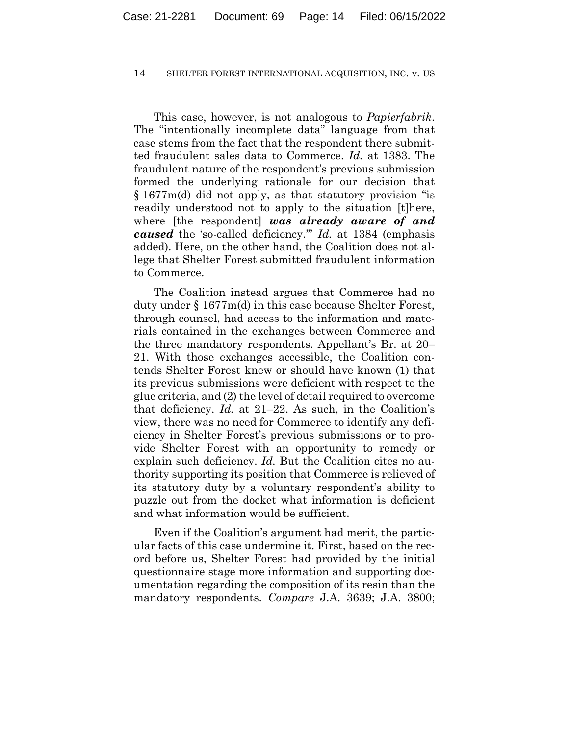This case, however, is not analogous to *Papierfabrik*. The "intentionally incomplete data" language from that case stems from the fact that the respondent there submitted fraudulent sales data to Commerce. *Id.* at 1383. The fraudulent nature of the respondent's previous submission formed the underlying rationale for our decision that § 1677m(d) did not apply, as that statutory provision "is readily understood not to apply to the situation [t]here, where [the respondent] *was already aware of and caused* the 'so-called deficiency.'" *Id.* at 1384 (emphasis added). Here, on the other hand, the Coalition does not allege that Shelter Forest submitted fraudulent information to Commerce.

The Coalition instead argues that Commerce had no duty under § 1677m(d) in this case because Shelter Forest, through counsel, had access to the information and materials contained in the exchanges between Commerce and the three mandatory respondents. Appellant's Br. at 20– 21. With those exchanges accessible, the Coalition contends Shelter Forest knew or should have known (1) that its previous submissions were deficient with respect to the glue criteria, and (2) the level of detail required to overcome that deficiency. *Id.* at 21–22. As such, in the Coalition's view, there was no need for Commerce to identify any deficiency in Shelter Forest's previous submissions or to provide Shelter Forest with an opportunity to remedy or explain such deficiency. *Id.* But the Coalition cites no authority supporting its position that Commerce is relieved of its statutory duty by a voluntary respondent's ability to puzzle out from the docket what information is deficient and what information would be sufficient.

Even if the Coalition's argument had merit, the particular facts of this case undermine it. First, based on the record before us, Shelter Forest had provided by the initial questionnaire stage more information and supporting documentation regarding the composition of its resin than the mandatory respondents. *Compare* J.A. 3639; J.A. 3800;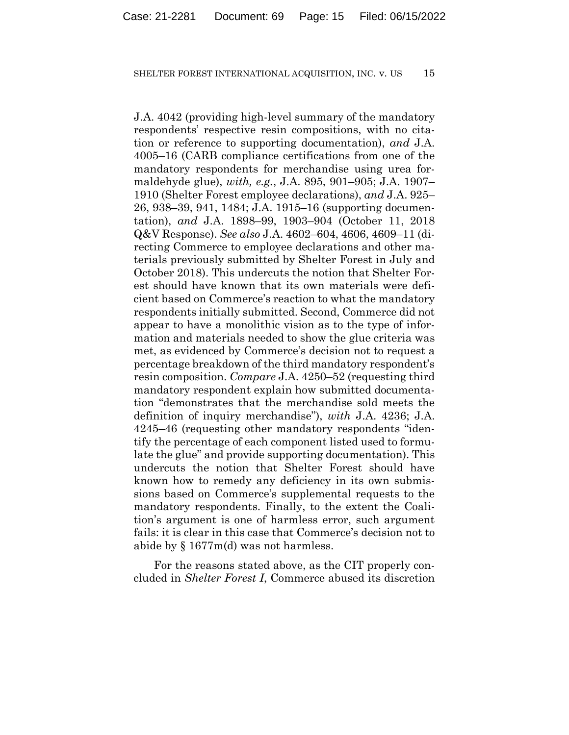J.A. 4042 (providing high-level summary of the mandatory respondents' respective resin compositions, with no citation or reference to supporting documentation), *and* J.A. 4005–16 (CARB compliance certifications from one of the mandatory respondents for merchandise using urea formaldehyde glue), *with, e.g.*, J.A. 895, 901–905; J.A. 1907– 1910 (Shelter Forest employee declarations), *and* J.A. 925– 26, 938–39, 941, 1484; J.A. 1915–16 (supporting documentation), *and* J.A. 1898–99, 1903–904 (October 11, 2018 Q&V Response). *See also* J.A. 4602–604, 4606, 4609–11 (directing Commerce to employee declarations and other materials previously submitted by Shelter Forest in July and October 2018). This undercuts the notion that Shelter Forest should have known that its own materials were deficient based on Commerce's reaction to what the mandatory respondents initially submitted. Second, Commerce did not appear to have a monolithic vision as to the type of information and materials needed to show the glue criteria was met, as evidenced by Commerce's decision not to request a percentage breakdown of the third mandatory respondent's resin composition. *Compare* J.A. 4250–52 (requesting third mandatory respondent explain how submitted documentation "demonstrates that the merchandise sold meets the definition of inquiry merchandise"), *with* J.A. 4236; J.A. 4245–46 (requesting other mandatory respondents "identify the percentage of each component listed used to formulate the glue" and provide supporting documentation). This undercuts the notion that Shelter Forest should have known how to remedy any deficiency in its own submissions based on Commerce's supplemental requests to the mandatory respondents. Finally, to the extent the Coalition's argument is one of harmless error, such argument fails: it is clear in this case that Commerce's decision not to abide by § 1677m(d) was not harmless.

For the reasons stated above, as the CIT properly concluded in *Shelter Forest I*, Commerce abused its discretion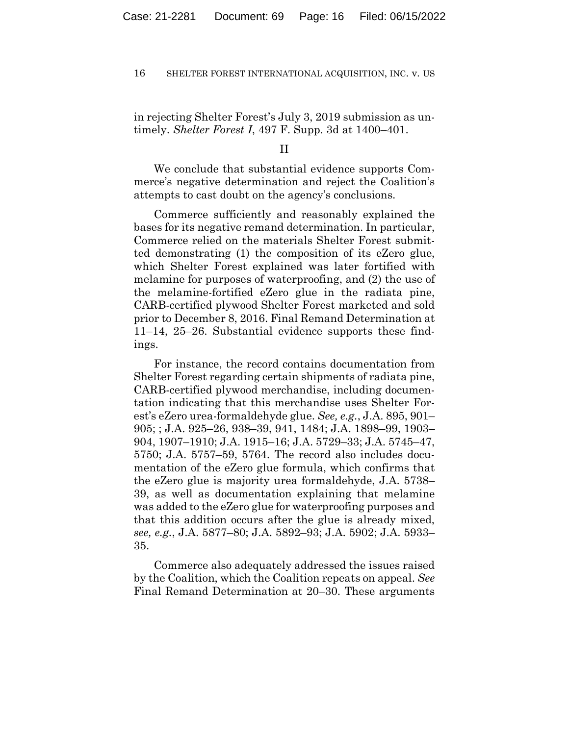in rejecting Shelter Forest's July 3, 2019 submission as untimely. *Shelter Forest I*, 497 F. Supp. 3d at 1400–401.

II

We conclude that substantial evidence supports Commerce's negative determination and reject the Coalition's attempts to cast doubt on the agency's conclusions.

Commerce sufficiently and reasonably explained the bases for its negative remand determination. In particular, Commerce relied on the materials Shelter Forest submitted demonstrating (1) the composition of its eZero glue, which Shelter Forest explained was later fortified with melamine for purposes of waterproofing, and (2) the use of the melamine-fortified eZero glue in the radiata pine, CARB-certified plywood Shelter Forest marketed and sold prior to December 8, 2016. Final Remand Determination at 11–14, 25–26. Substantial evidence supports these findings.

For instance, the record contains documentation from Shelter Forest regarding certain shipments of radiata pine, CARB-certified plywood merchandise, including documentation indicating that this merchandise uses Shelter Forest's eZero urea-formaldehyde glue. *See, e.g.*, J.A. 895, 901– 905; ; J.A. 925–26, 938–39, 941, 1484; J.A. 1898–99, 1903– 904, 1907–1910; J.A. 1915–16; J.A. 5729–33; J.A. 5745–47, 5750; J.A. 5757–59, 5764. The record also includes documentation of the eZero glue formula, which confirms that the eZero glue is majority urea formaldehyde, J.A. 5738– 39, as well as documentation explaining that melamine was added to the eZero glue for waterproofing purposes and that this addition occurs after the glue is already mixed, *see, e.g.*, J.A. 5877–80; J.A. 5892–93; J.A. 5902; J.A. 5933– 35.

Commerce also adequately addressed the issues raised by the Coalition, which the Coalition repeats on appeal. *See*  Final Remand Determination at 20–30. These arguments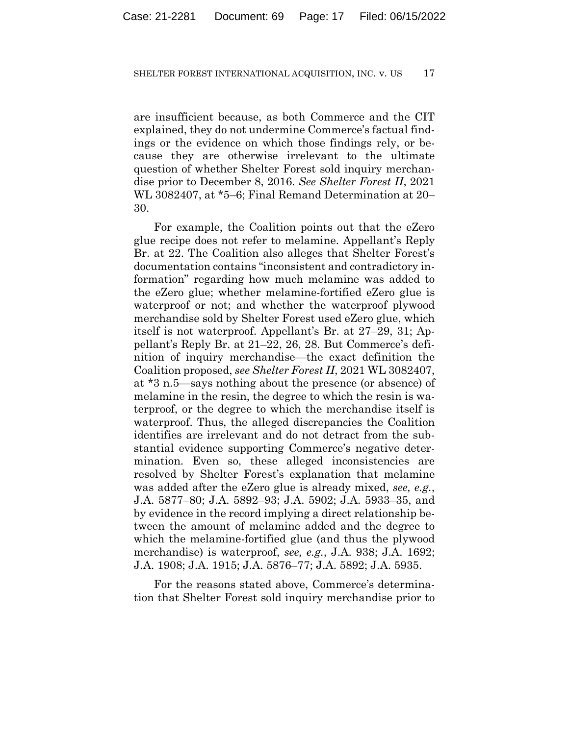are insufficient because, as both Commerce and the CIT explained, they do not undermine Commerce's factual findings or the evidence on which those findings rely, or because they are otherwise irrelevant to the ultimate question of whether Shelter Forest sold inquiry merchandise prior to December 8, 2016. *See Shelter Forest II*, 2021 WL 3082407, at \*5–6; Final Remand Determination at 20– 30.

For example, the Coalition points out that the eZero glue recipe does not refer to melamine. Appellant's Reply Br. at 22. The Coalition also alleges that Shelter Forest's documentation contains "inconsistent and contradictory information" regarding how much melamine was added to the eZero glue; whether melamine-fortified eZero glue is waterproof or not; and whether the waterproof plywood merchandise sold by Shelter Forest used eZero glue, which itself is not waterproof. Appellant's Br. at 27–29, 31; Appellant's Reply Br. at 21–22, 26, 28. But Commerce's definition of inquiry merchandise—the exact definition the Coalition proposed, *see Shelter Forest II*, 2021 WL 3082407, at \*3 n.5—says nothing about the presence (or absence) of melamine in the resin, the degree to which the resin is waterproof, or the degree to which the merchandise itself is waterproof. Thus, the alleged discrepancies the Coalition identifies are irrelevant and do not detract from the substantial evidence supporting Commerce's negative determination. Even so, these alleged inconsistencies are resolved by Shelter Forest's explanation that melamine was added after the eZero glue is already mixed, *see, e.g.*, J.A. 5877–80; J.A. 5892–93; J.A. 5902; J.A. 5933–35, and by evidence in the record implying a direct relationship between the amount of melamine added and the degree to which the melamine-fortified glue (and thus the plywood merchandise) is waterproof, *see, e.g.*, J.A. 938; J.A. 1692; J.A. 1908; J.A. 1915; J.A. 5876–77; J.A. 5892; J.A. 5935.

For the reasons stated above, Commerce's determination that Shelter Forest sold inquiry merchandise prior to